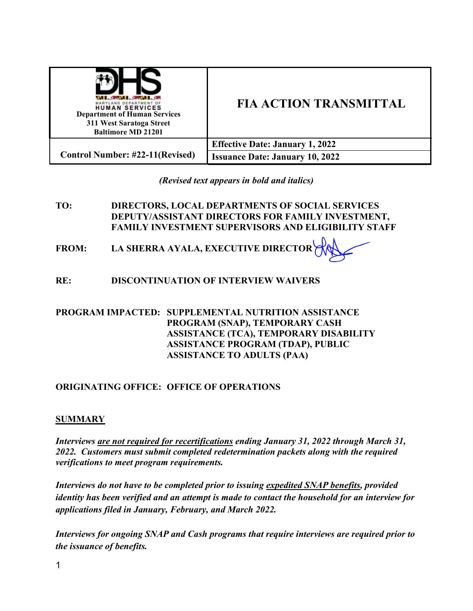| YLAND DEPARTMENT OF<br><b>HUMAN SERVICES</b><br><b>Department of Human Services</b><br>311 West Saratoga Street<br><b>Baltimore MD 21201</b> | <b>FIA ACTION TRANSMITTAL</b>          |
|----------------------------------------------------------------------------------------------------------------------------------------------|----------------------------------------|
|                                                                                                                                              | <b>Effective Date: January 1, 2022</b> |
| <b>Control Number: #22-11(Revised)</b>                                                                                                       | <b>Issuance Date: January 10, 2022</b> |

*(Revised text appears in bold and italics)* 

- **TO: DIRECTORS, LOCAL DEPARTMENTS OF SOCIAL SERVICES DEPUTY/ASSISTANT DIRECTORS FOR FAMILY INVESTMENT, FAMILY INVESTMENT SUPERVISORS AND ELIGIBILITY STAFF**
- **FROM: LA SHERRA AYALA, EXECUTIVE DIRECTOR**
- **RE: DISCONTINUATION OF INTERVIEW WAIVERS**

## **PROGRAM IMPACTED: SUPPLEMENTAL NUTRITION ASSISTANCE PROGRAM (SNAP), TEMPORARY CASH ASSISTANCE (TCA), TEMPORARY DISABILITY ASSISTANCE PROGRAM (TDAP), PUBLIC ASSISTANCE TO ADULTS (PAA)**

# **ORIGINATING OFFICE: OFFICE OF OPERATIONS**

## **SUMMARY**

*Interviews are not required for recertifications ending January 31, 2022 through March 31, 2022. Customers must submit completed redetermination packets along with the required verifications to meet program requirements.* 

*Interviews do not have to be completed prior to issuing expedited SNAP benefits, provided identity has been verified and an attempt is made to contact the household for an interview for applications filed in January, February, and March 2022.* 

*Interviews for ongoing SNAP and Cash programs that require interviews are required prior to the issuance of benefits.*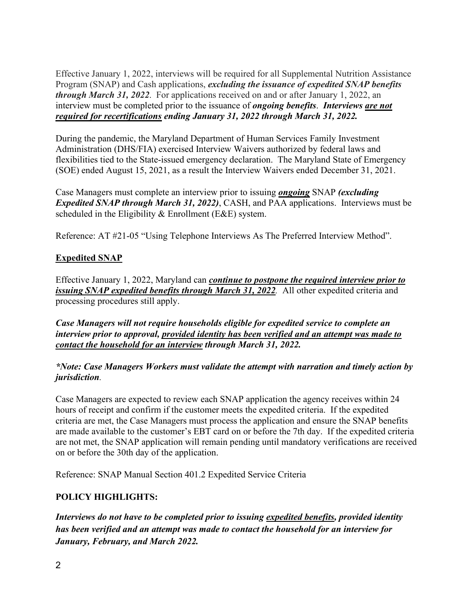Effective January 1, 2022, interviews will be required for all Supplemental Nutrition Assistance Program (SNAP) and Cash applications, *excluding the issuance of expedited SNAP benefits through March 31, 2022*. For applications received on and or after January 1, 2022, an interview must be completed prior to the issuance of *ongoing benefits*. *Interviews are not required for recertifications ending January 31, 2022 through March 31, 2022.*

During the pandemic, the Maryland Department of Human Services Family Investment Administration (DHS/FIA) exercised Interview Waivers authorized by federal laws and flexibilities tied to the State-issued emergency declaration. The Maryland State of Emergency (SOE) ended August 15, 2021, as a result the Interview Waivers ended December 31, 2021.

Case Managers must complete an interview prior to issuing *ongoing* SNAP *(excluding Expedited SNAP through March 31, 2022)*, CASH, and PAA applications. Interviews must be scheduled in the Eligibility & Enrollment (E&E) system.

Reference: AT #21-05 "Using Telephone Interviews As The Preferred Interview Method".

# **Expedited SNAP**

Effective January 1, 2022, Maryland can *continue to postpone the required interview prior to issuing SNAP expedited benefits through March 31, 2022.* All other expedited criteria and processing procedures still apply.

*Case Managers will not require households eligible for expedited service to complete an interview prior to approval, provided identity has been verified and an attempt was made to contact the household for an interview through March 31, 2022.* 

## *\*Note: Case Managers Workers must validate the attempt with narration and timely action by jurisdiction.*

Case Managers are expected to review each SNAP application the agency receives within 24 hours of receipt and confirm if the customer meets the expedited criteria. If the expedited criteria are met, the Case Managers must process the application and ensure the SNAP benefits are made available to the customer's EBT card on or before the 7th day. If the expedited criteria are not met, the SNAP application will remain pending until mandatory verifications are received on or before the 30th day of the application.

Reference: SNAP Manual Section 401.2 Expedited Service Criteria

# **POLICY HIGHLIGHTS:**

*Interviews do not have to be completed prior to issuing expedited benefits, provided identity has been verified and an attempt was made to contact the household for an interview for January, February, and March 2022.*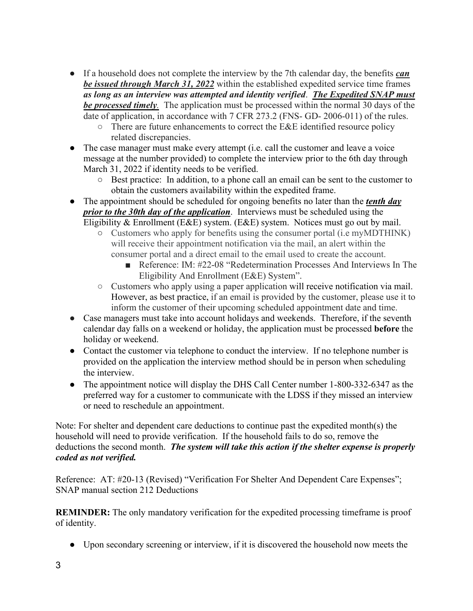- If a household does not complete the interview by the 7th calendar day, the benefits *can be issued through March 31, 2022* within the established expedited service time frames *as long as an interview was attempted and identity verified*. *The Expedited SNAP must be processed timely.* The application must be processed within the normal 30 days of the date of application, in accordance with 7 CFR 273.2 (FNS- GD- 2006-011) of the rules.
	- There are future enhancements to correct the E&E identified resource policy related discrepancies.
- The case manager must make every attempt (i.e. call the customer and leave a voice message at the number provided) to complete the interview prior to the 6th day through March 31, 2022 if identity needs to be verified.
	- Best practice: In addition, to a phone call an email can be sent to the customer to obtain the customers availability within the expedited frame.
- The appointment should be scheduled for ongoing benefits no later than the *tenth day prior to the 30th day of the application*. Interviews must be scheduled using the Eligibility & Enrollment (E&E) system. (E&E) system. Notices must go out by mail.
	- Customers who apply for benefits using the consumer portal (i.e myMDTHINK) will receive their appointment notification via the mail, an alert within the
		- consumer portal and a direct email to the email used to create the account. ■ Reference: IM: #22-08 "Redetermination Processes And Interviews In The Eligibility And Enrollment (E&E) System".
		- Customers who apply using a paper application will receive notification via mail. However, as best practice, if an email is provided by the customer, please use it to inform the customer of their upcoming scheduled appointment date and time.
- Case managers must take into account holidays and weekends. Therefore, if the seventh calendar day falls on a weekend or holiday, the application must be processed **before** the holiday or weekend.
- Contact the customer via telephone to conduct the interview. If no telephone number is provided on the application the interview method should be in person when scheduling the interview.
- The appointment notice will display the DHS Call Center number 1-800-332-6347 as the preferred way for a customer to communicate with the LDSS if they missed an interview or need to reschedule an appointment.

Note: For shelter and dependent care deductions to continue past the expedited month(s) the household will need to provide verification. If the household fails to do so, remove the deductions the second month. *The system will take this action if the shelter expense is properly coded as not verified.* 

Reference: AT: #20-13 (Revised) "Verification For Shelter And Dependent Care Expenses"; SNAP manual section 212 Deductions

**REMINDER:** The only mandatory verification for the expedited processing timeframe is proof of identity.

• Upon secondary screening or interview, if it is discovered the household now meets the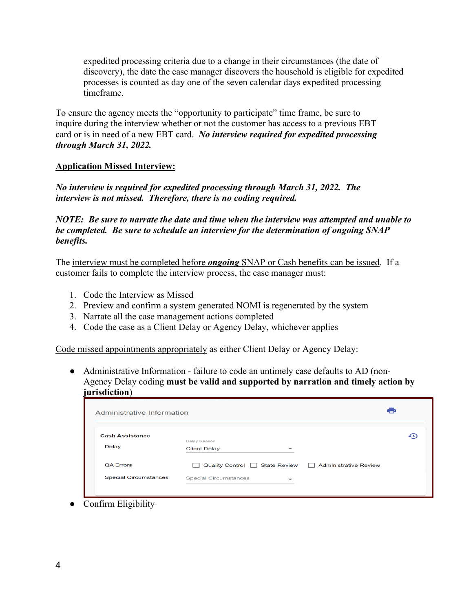expedited processing criteria due to a change in their circumstances (the date of discovery), the date the case manager discovers the household is eligible for expedited processes is counted as day one of the seven calendar days expedited processing timeframe.

To ensure the agency meets the "opportunity to participate" time frame, be sure to inquire during the interview whether or not the customer has access to a previous EBT card or is in need of a new EBT card. *No interview required for expedited processing through March 31, 2022.*

### **Application Missed Interview:**

*No interview is required for expedited processing through March 31, 2022. The interview is not missed. Therefore, there is no coding required.* 

*NOTE: Be sure to narrate the date and time when the interview was attempted and unable to be completed. Be sure to schedule an interview for the determination of ongoing SNAP benefits.* 

The interview must be completed before *ongoing* SNAP or Cash benefits can be issued. If a customer fails to complete the interview process, the case manager must:

- 1. Code the Interview as Missed
- 2. Preview and confirm a system generated NOMI is regenerated by the system
- 3. Narrate all the case management actions completed
- 4. Code the case as a Client Delay or Agency Delay, whichever applies

Code missed appointments appropriately as either Client Delay or Agency Delay:

• Administrative Information - failure to code an untimely case defaults to AD (non-Agency Delay coding **must be valid and supported by narration and timely action by jurisdiction**)

| <b>Cash Assistance</b>       |                                        |   |                              |  |
|------------------------------|----------------------------------------|---|------------------------------|--|
|                              | Delay Reason                           |   |                              |  |
| Delay                        | <b>Client Delay</b>                    | ᅮ |                              |  |
| <b>QA Errors</b>             | Quality Control □ State Review □<br>П. |   | <b>Administrative Review</b> |  |
| <b>Special Circumstances</b> | <b>Special Circumstances</b>           |   |                              |  |

● Confirm Eligibility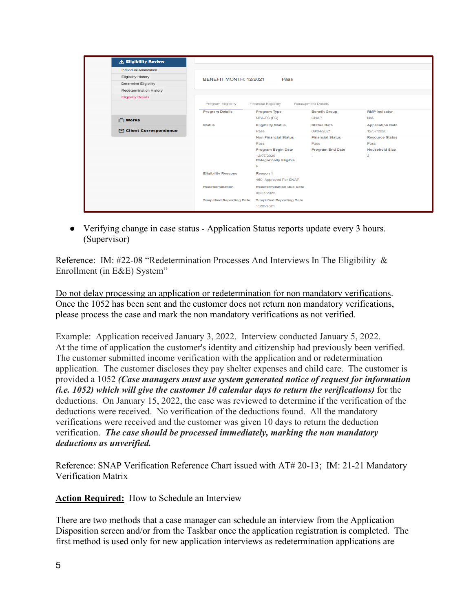| $\Lambda$ Eligibility Review     |                                  |                                    |                          |                         |
|----------------------------------|----------------------------------|------------------------------------|--------------------------|-------------------------|
| <b>Individual Assistance</b>     |                                  |                                    |                          |                         |
| <b>Eligibility History</b>       | BENEFIT MONTH: 12/2021           | Pass                               |                          |                         |
| Determine Eligibility            |                                  |                                    |                          |                         |
| Redetermination History          |                                  |                                    |                          |                         |
| <b>Eligibility Details</b>       |                                  |                                    |                          |                         |
|                                  | Program Eligibility              | Financial Eligibility              | Recoupment Details       |                         |
|                                  | <b>Program Details</b>           | Program Type                       | <b>Benefit Group</b>     | <b>RMP Indicator</b>    |
| 门 Works                          |                                  | NPA-FS (FS)                        | <b>SNAP</b>              | N/A                     |
|                                  | <b>Status</b>                    | <b>Eligibility Status</b>          | <b>Status Date</b>       | <b>Application Date</b> |
| <b>Secondence</b> Correspondence |                                  | Pass                               | 09/04/2021               | 12/07/2020              |
|                                  |                                  | <b>Non Financial Status</b>        | <b>Financial Status</b>  | <b>Resource Status</b>  |
|                                  |                                  | Pass                               | Pass                     | Pass                    |
|                                  |                                  | Program Begin Date                 | <b>Program End Date</b>  | <b>Household Size</b>   |
|                                  |                                  | 12/07/2020                         | $\overline{\phantom{a}}$ | $\overline{2}$          |
|                                  |                                  | <b>Categorically Eligible</b><br>F |                          |                         |
|                                  |                                  |                                    |                          |                         |
|                                  | <b>Eligibility Reasons</b>       | Reason 1                           |                          |                         |
|                                  |                                  | 460 Approved For SNAP              |                          |                         |
|                                  | Redetermination                  | <b>Redetermination Due Date</b>    |                          |                         |
|                                  |                                  | 05/31/2022                         |                          |                         |
|                                  | <b>Simplified Reporting Date</b> | <b>Simplified Reporting Date</b>   |                          |                         |
|                                  |                                  | 11/30/2021                         |                          |                         |

● Verifying change in case status - Application Status reports update every 3 hours. (Supervisor)

Reference: IM: #22-08 "Redetermination Processes And Interviews In The Eligibility & Enrollment (in E&E) System"

Do not delay processing an application or redetermination for non mandatory verifications. Once the 1052 has been sent and the customer does not return non mandatory verifications, please process the case and mark the non mandatory verifications as not verified.

Example: Application received January 3, 2022. Interview conducted January 5, 2022. At the time of application the customer's identity and citizenship had previously been verified. The customer submitted income verification with the application and or redetermination application. The customer discloses they pay shelter expenses and child care. The customer is provided a 1052 *(Case managers must use system generated notice of request for information (i.e. 1052) which will give the customer 10 calendar days to return the verifications)* for the deductions. On January 15, 2022, the case was reviewed to determine if the verification of the deductions were received. No verification of the deductions found. All the mandatory verifications were received and the customer was given 10 days to return the deduction verification. *The case should be processed immediately, marking the non mandatory deductions as unverified.* 

Reference: SNAP Verification Reference Chart issued with AT# 20-13; IM: 21-21 Mandatory Verification Matrix

**Action Required:** How to Schedule an Interview

There are two methods that a case manager can schedule an interview from the Application Disposition screen and/or from the Taskbar once the application registration is completed. The first method is used only for new application interviews as redetermination applications are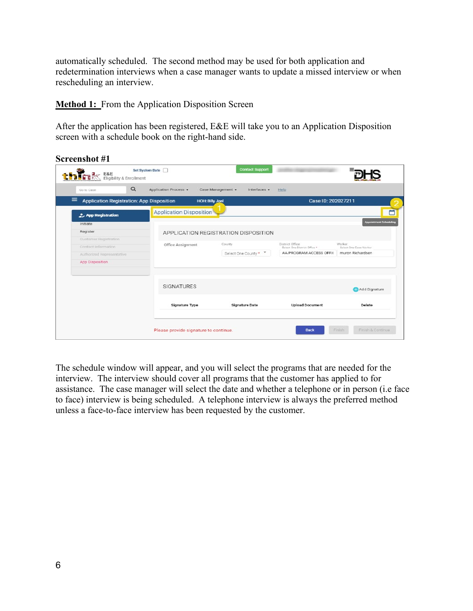automatically scheduled. The second method may be used for both application and redetermination interviews when a case manager wants to update a missed interview or when rescheduling an interview.

**Method 1:** From the Application Disposition Screen

After the application has been registered, E&E will take you to an Application Disposition screen with a schedule book on the right-hand side.

| <b>DERENT ESE</b> Eigibility & Enrollment | Set System Date                                  |                        | <b>Contact Support</b>               |                                                         |                                            |
|-------------------------------------------|--------------------------------------------------|------------------------|--------------------------------------|---------------------------------------------------------|--------------------------------------------|
| Go to Case                                | $\alpha$<br>Application Process -                |                        | Case Management +<br>Interfaces -    | Help                                                    |                                            |
| $\equiv$                                  | <b>Application Registration: App Disposition</b> | <b>HOH: Billy Joel</b> |                                      | Case ID: 202027211                                      |                                            |
| 2. App Registration                       | <b>Application Disposition</b>                   |                        |                                      |                                                         |                                            |
| Initiate                                  |                                                  |                        |                                      |                                                         | <b>Appointment Schedulin</b>               |
| Register                                  |                                                  |                        | APPLICATION REGISTRATION DISPOSITION |                                                         |                                            |
| Customer Registration                     | Office Assignment                                |                        | County                               | District Office                                         | Worker                                     |
| Contact Information                       |                                                  |                        |                                      | Select One District Office *<br>AA PROGRAM ACCESS OFFIC | Salact One Cape Worker<br>muron Richardson |
| Authorized Representative                 |                                                  |                        | Select One County *                  |                                                         |                                            |
| App Disposition                           |                                                  |                        |                                      |                                                         |                                            |
|                                           | <b>SIGNATURES</b>                                |                        |                                      |                                                         | Add Signature                              |
|                                           | Signature Type                                   |                        | <b>Signature Date</b>                | <b>Upload Document</b>                                  | Delete                                     |
|                                           |                                                  |                        |                                      |                                                         |                                            |

The schedule window will appear, and you will select the programs that are needed for the interview. The interview should cover all programs that the customer has applied to for assistance. The case manager will select the date and whether a telephone or in person (i.e face to face) interview is being scheduled. A telephone interview is always the preferred method unless a face-to-face interview has been requested by the customer.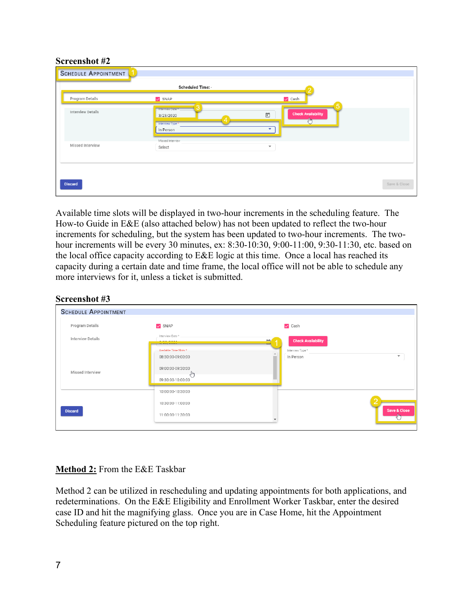#### **Screenshot #2**

|                   | Scheduled Time: -                                |                                                           |
|-------------------|--------------------------------------------------|-----------------------------------------------------------|
| Program Details   | $\sqrt{\text{SNAP}}$                             | $\vee$ Cash                                               |
| Interview Details | Interview Date *<br>3/23/2020<br>Interview Type* | 5<br><b>Check Availability</b><br>$\boxdot$<br>$\sqrt{m}$ |
|                   | In Person<br>Missed Interview                    | ٠                                                         |
| Missed Interview  | Select                                           | $\overline{\mathbf{v}}$                                   |
|                   |                                                  |                                                           |

Available time slots will be displayed in two-hour increments in the scheduling feature. The How-to Guide in E&E (also attached below) has not been updated to reflect the two-hour increments for scheduling, but the system has been updated to two-hour increments. The twohour increments will be every 30 minutes, ex: 8:30-10:30, 9:00-11:00, 9:30-11:30, etc. based on the local office capacity according to E&E logic at this time. Once a local has reached its capacity during a certain date and time frame, the local office will not be able to schedule any more interviews for it, unless a ticket is submitted.

#### **Screenshot #3**

| <b>SCHEDULE APPOINTMENT</b> |                                                                   |                                         |              |
|-----------------------------|-------------------------------------------------------------------|-----------------------------------------|--------------|
| Program Details             | $\vee$ SNAP                                                       | $\vee$ Cash                             |              |
| <b>Interview Details</b>    | Interview Date *<br>help can be a car between the                 | <b>Check Availability</b><br><b>ANY</b> |              |
|                             | Available Time Slots *                                            | Interview Type *                        |              |
| Missed Interview            | 08:30:00-09:00:00<br>09:00:00-09:30:00<br>Чщ<br>09:30:00-10:00:00 | In Person                               | $\checkmark$ |
|                             | 10:00:00-10:30:00                                                 |                                         |              |
|                             | 10:30:00-11:00:00                                                 |                                         |              |
| <b>Discard</b>              | 11:00:00-11:30:00                                                 |                                         | Save & Close |

## **Method 2:** From the E&E Taskbar

Method 2 can be utilized in rescheduling and updating appointments for both applications, and redeterminations. On the E&E Eligibility and Enrollment Worker Taskbar, enter the desired case ID and hit the magnifying glass. Once you are in Case Home, hit the Appointment Scheduling feature pictured on the top right.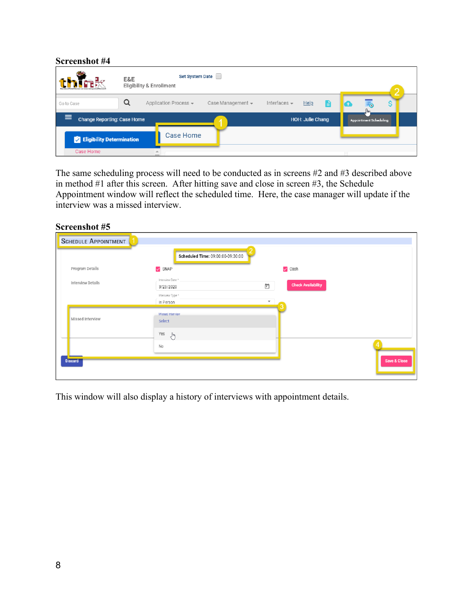| Screenshot #4                           |     |                                                                                                                                 |                   |                   |                  |                               |   |
|-----------------------------------------|-----|---------------------------------------------------------------------------------------------------------------------------------|-------------------|-------------------|------------------|-------------------------------|---|
|                                         | E&E | Set System Date<br><b>Eligibility &amp; Enrollment</b>                                                                          |                   |                   |                  |                               | c |
| Go to Case                              | a   | Application Process -                                                                                                           | Case Management + | Interfaces $\sim$ | He<br>Е          | խհ                            |   |
| $\equiv$<br>Change Reporting: Case Home |     | $\mathcal{L}^{\text{max}}_{\text{max}}$ and $\mathcal{L}^{\text{max}}_{\text{max}}$ and $\mathcal{L}^{\text{max}}_{\text{max}}$ |                   |                   | HOH: Julie Chang | <b>Appointment Scheduling</b> |   |
| <b>Eligibility Determination</b>        |     | Case Home                                                                                                                       |                   |                   |                  |                               |   |
| Case Home                               |     |                                                                                                                                 |                   |                   |                  |                               |   |

The same scheduling process will need to be conducted as in screens #2 and #3 described above in method #1 after this screen. After hitting save and close in screen #3, the Schedule Appointment window will reflect the scheduled time. Here, the case manager will update if the interview was a missed interview.

| Screenshot #5               |                                                                |                                                           |              |
|-----------------------------|----------------------------------------------------------------|-----------------------------------------------------------|--------------|
| <b>SCHEDULE APPOINTMENT</b> |                                                                |                                                           |              |
|                             | Scheduled Time: 09:00:00-09:30:00                              |                                                           |              |
| Program Details             | $\vee$ SNAP                                                    | $\vee$ Cash                                               |              |
| Interview Details           | Interview Date *<br>3/23/2020<br>Interview Type *<br>In Person | <b>Check Availability</b><br>ö<br>$\overline{\mathbf{v}}$ |              |
| Missed Interview            | Missed Interview<br>Select                                     |                                                           |              |
|                             | Yes<br>$\mathcal{E}^{\text{lin}}$<br><b>No</b>                 |                                                           |              |
| <b>Discard</b>              |                                                                |                                                           | Save & Close |

This window will also display a history of interviews with appointment details.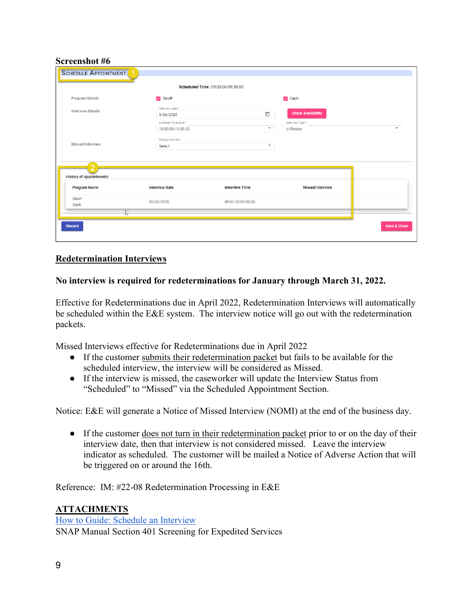### **Screenshot #6**

|                                 |                                             | Scheduled Time: 09:00:00-09:30:00  |                               |                          |
|---------------------------------|---------------------------------------------|------------------------------------|-------------------------------|--------------------------|
| Program Details                 | $\vee$ SNAP                                 |                                    | $\vee$ Cash                   |                          |
| <b>Interview Details</b>        | Interview Date*<br>3/26/2020                | $\overleftrightarrow{\phantom{a}}$ | <b>Check Availability</b>     |                          |
|                                 | Available Time Slots *<br>10:00:00-10:30:00 | $\overline{\tau}$                  | Interview Type *<br>In Person | $\overline{\phantom{a}}$ |
| Missed Interview                | Missed Interview<br>Select                  | $\overline{\phantom{a}}$           |                               |                          |
| <b>History of Appointments:</b> |                                             |                                    |                               |                          |
| Program Name                    | <b>Interview Date</b>                       | Interview Time                     | <b>Missed Interview</b>       |                          |
| SNAP                            | 03/23/2020                                  | 09:00:00-09:30:00                  |                               |                          |
| Cash                            |                                             |                                    |                               |                          |

### **Redetermination Interviews**

#### **No interview is required for redeterminations for January through March 31, 2022.**

Effective for Redeterminations due in April 2022, Redetermination Interviews will automatically be scheduled within the E&E system. The interview notice will go out with the redetermination packets.

Missed Interviews effective for Redeterminations due in April 2022

- If the customer submits their redetermination packet but fails to be available for the scheduled interview, the interview will be considered as Missed.
- If the interview is missed, the caseworker will update the Interview Status from "Scheduled" to "Missed" via the Scheduled Appointment Section.

Notice: E&E will generate a Notice of Missed Interview (NOMI) at the end of the business day.

• If the customer does not turn in their redetermination packet prior to or on the day of their interview date, then that interview is not considered missed. Leave the interview indicator as scheduled. The customer will be mailed a Notice of Adverse Action that will be triggered on or around the 16th.

Reference: IM: #22-08 Redetermination Processing in E&E

#### **ATTACHMENTS**

[How to Guide: Schedule an Interview](https://drive.google.com/file/d/1gifbHledlRunEs4M5Eng6Homt6Q6TW8m/view?usp=sharing) SNAP Manual Section 401 Screening for Expedited Services